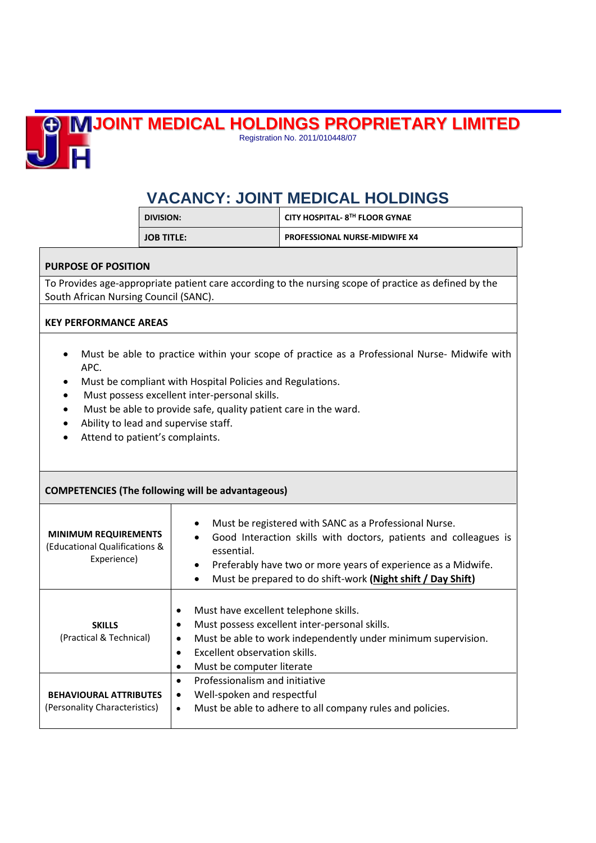

**JOINT MEDICAL HOLDINGS PROPRIETARY LIMITED**

Registration No. 2011/010448/07

## **VACANCY: JOINT MEDICAL HOLDINGS**

| DIVISION:         | <b>CITY HOSPITAL- 8TH FLOOR GYNAE</b> |
|-------------------|---------------------------------------|
| <b>JOB TITLE:</b> | <b>PROFESSIONAL NURSE-MIDWIFE X4</b>  |

## **PURPOSE OF POSITION**

To Provides age-appropriate patient care according to the nursing scope of practice as defined by the South African Nursing Council (SANC).

## **KEY PERFORMANCE AREAS**

- Must be able to practice within your scope of practice as a Professional Nurse- Midwife with APC.
- Must be compliant with Hospital Policies and Regulations.
- Must possess excellent inter-personal skills.
- Must be able to provide safe, quality patient care in the ward.
- Ability to lead and supervise staff.
- Attend to patient's complaints.

| <b>COMPETENCIES (The following will be advantageous)</b>                    |                                                                                                                                                                                                                                                                                                                |  |
|-----------------------------------------------------------------------------|----------------------------------------------------------------------------------------------------------------------------------------------------------------------------------------------------------------------------------------------------------------------------------------------------------------|--|
| <b>MINIMUM REQUIREMENTS</b><br>(Educational Qualifications &<br>Experience) | Must be registered with SANC as a Professional Nurse.<br>$\bullet$<br>Good Interaction skills with doctors, patients and colleagues is<br>essential.<br>Preferably have two or more years of experience as a Midwife.<br>$\bullet$<br>Must be prepared to do shift-work (Night shift / Day Shift)<br>$\bullet$ |  |
| <b>SKILLS</b><br>(Practical & Technical)                                    | Must have excellent telephone skills.<br>٠<br>Must possess excellent inter-personal skills.<br>$\bullet$<br>Must be able to work independently under minimum supervision.<br>٠<br>Excellent observation skills.<br>$\bullet$<br>Must be computer literate                                                      |  |
| <b>BEHAVIOURAL ATTRIBUTES</b><br>(Personality Characteristics)              | Professionalism and initiative<br>$\bullet$<br>Well-spoken and respectful<br>٠<br>Must be able to adhere to all company rules and policies.<br>$\bullet$                                                                                                                                                       |  |